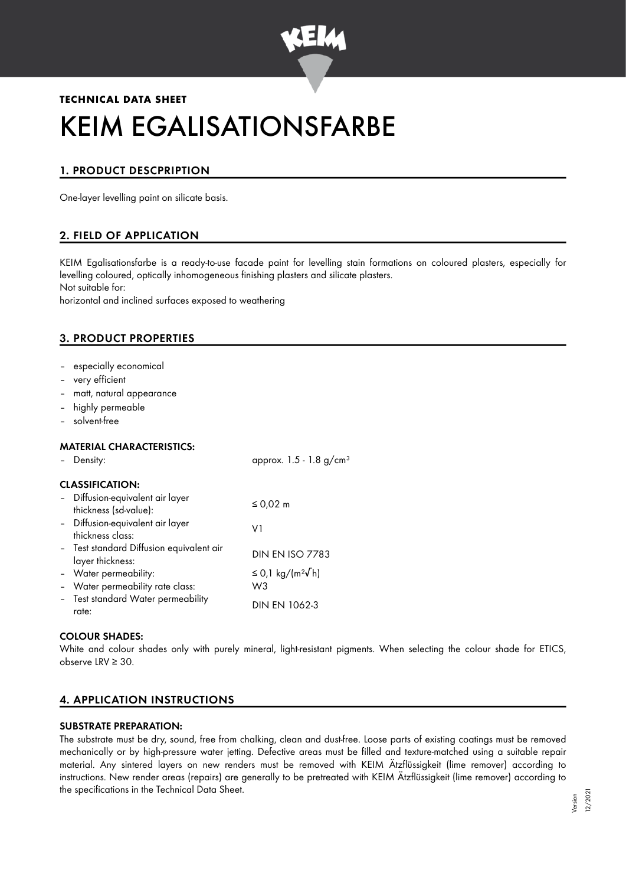

# **TECHNICAL DATA SHEET** KEIM EGALISATIONSFARBE

# 1. PRODUCT DESCPRIPTION

One-layer levelling paint on silicate basis.

# 2. FIELD OF APPLICATION

KEIM Egalisationsfarbe is a ready-to-use facade paint for levelling stain formations on coloured plasters, especially for levelling coloured, optically inhomogeneous finishing plasters and silicate plasters. Not suitable for:

horizontal and inclined surfaces exposed to weathering

# 3. PRODUCT PROPERTIES

- especially economical
- very efficient
- matt, natural appearance
- highly permeable
- solvent-free

### MATERIAL CHARACTERISTICS:

| Density:                                                     | approx. $1.5 - 1.8$ g/cm <sup>3</sup> |
|--------------------------------------------------------------|---------------------------------------|
| <b>CLASSIFICATION:</b>                                       |                                       |
| - Diffusion-equivalent air layer<br>thickness (sd-value):    | ≤ 0,02 m                              |
| - Diffusion-equivalent air layer<br>thickness class:         | V1                                    |
| - Test standard Diffusion equivalent air<br>layer thickness: | <b>DIN EN ISO 7783</b>                |
| - Water permeability:                                        | ≤ 0,1 kg/(m <sup>2</sup> √h)          |
| - Water permeability rate class:                             | W3                                    |
| - Test standard Water permeability<br>rate:                  | DIN EN 1062-3                         |

#### COLOUR SHADES:

White and colour shades only with purely mineral, light-resistant pigments. When selecting the colour shade for ETICS, observe LRV ≥ 30.

## 4. APPLICATION INSTRUCTIONS

#### SUBSTRATE PREPARATION:

The substrate must be dry, sound, free from chalking, clean and dust-free. Loose parts of existing coatings must be removed mechanically or by high-pressure water jetting. Defective areas must be filled and texture-matched using a suitable repair material. Any sintered layers on new renders must be removed with KEIM Ätzflüssigkeit (lime remover) according to instructions. New render areas (repairs) are generally to be pretreated with KEIM Ätzflüssigkeit (lime remover) according to the specifications in the Technical Data Sheet.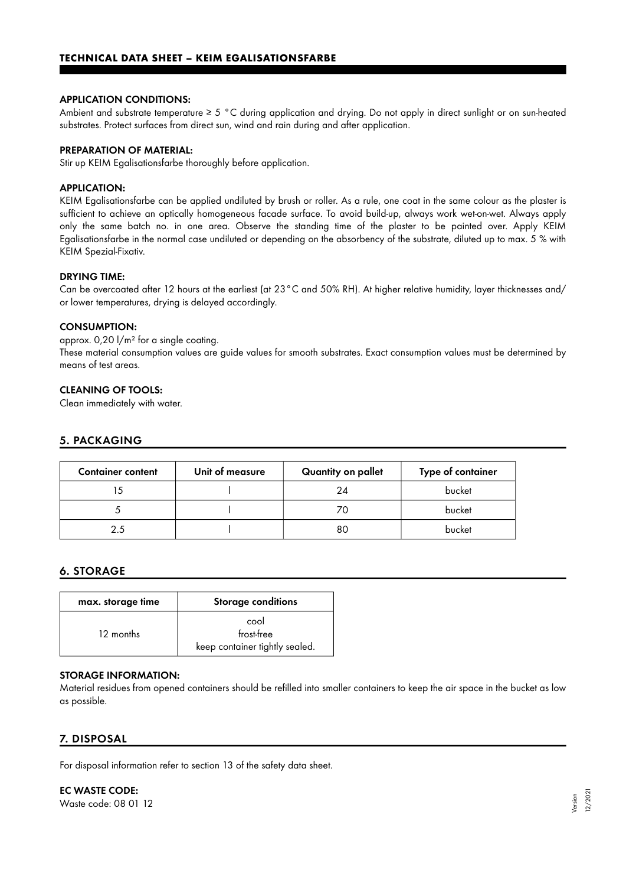#### APPLICATION CONDITIONS:

Ambient and substrate temperature ≥ 5 °C during application and drying. Do not apply in direct sunlight or on sun-heated substrates. Protect surfaces from direct sun, wind and rain during and after application.

#### PREPARATION OF MATERIAL:

Stir up KEIM Egalisationsfarbe thoroughly before application.

#### APPLICATION:

KEIM Egalisationsfarbe can be applied undiluted by brush or roller. As a rule, one coat in the same colour as the plaster is sufficient to achieve an optically homogeneous facade surface. To avoid build-up, always work wet-on-wet. Always apply only the same batch no. in one area. Observe the standing time of the plaster to be painted over. Apply KEIM Egalisationsfarbe in the normal case undiluted or depending on the absorbency of the substrate, diluted up to max. 5 % with KEIM Spezial-Fixativ.

#### DRYING TIME:

Can be overcoated after 12 hours at the earliest (at 23°C and 50% RH). At higher relative humidity, layer thicknesses and/ or lower temperatures, drying is delayed accordingly.

#### CONSUMPTION:

approx. 0,20 l/m² for a single coating. These material consumption values are guide values for smooth substrates. Exact consumption values must be determined by means of test areas.

#### CLEANING OF TOOLS:

Clean immediately with water.

## 5. PACKAGING

| <b>Container content</b> | Unit of measure | Quantity on pallet | Type of container |
|--------------------------|-----------------|--------------------|-------------------|
|                          |                 |                    | bucket            |
|                          |                 |                    | bucket            |
|                          |                 | 80                 | bucket            |

# 6. STORAGE

| max. storage time | <b>Storage conditions</b>                            |
|-------------------|------------------------------------------------------|
| 12 months         | cool<br>frost-free<br>keep container tightly sealed. |

#### STORAGE INFORMATION:

Material residues from opened containers should be refilled into smaller containers to keep the air space in the bucket as low as possible.

## 7. DISPOSAL

For disposal information refer to section 13 of the safety data sheet.

EC WASTE CODE: Waste code: 08 01 12